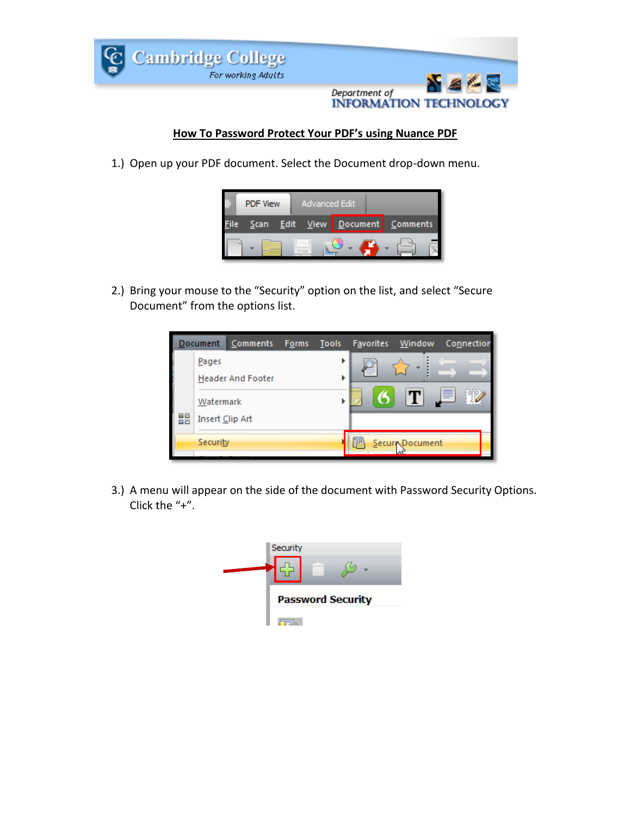

## **How To Password Protect Your PDF's using Nuance PDF**

1.) Open up your PDF document. Select the Document drop-down menu.



2.) Bring your mouse to the "Security" option on the list, and select "Secure Document" from the options list.



3.) A menu will appear on the side of the document with Password Security Options. Click the "+".

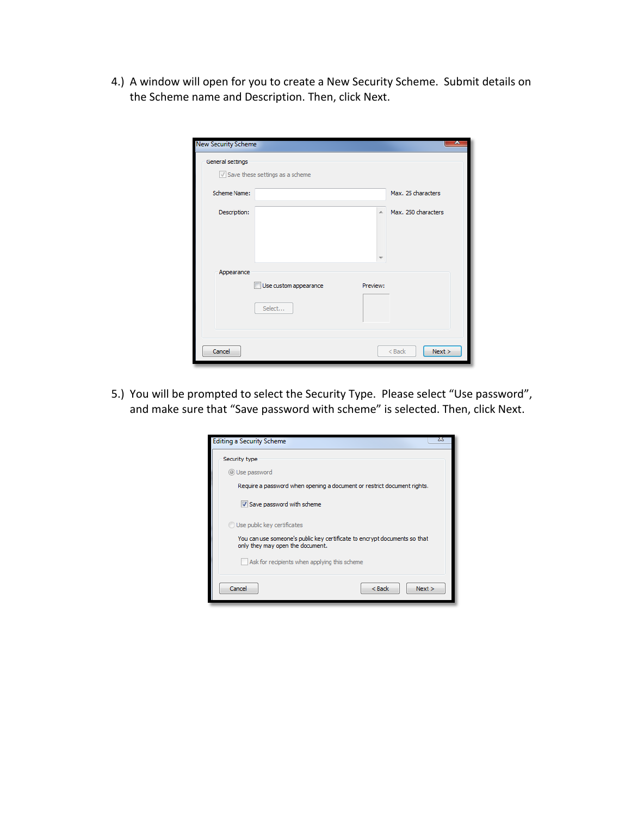4.) A window will open for you to create a New Security Scheme. Submit details on the Scheme name and Description. Then, click Next.

| New Security Scheme |                                            |          | 25                  |
|---------------------|--------------------------------------------|----------|---------------------|
| General settings    |                                            |          |                     |
|                     | $\sqrt{ }$ Save these settings as a scheme |          |                     |
| Scheme Name:        |                                            |          | Max. 25 characters  |
| Description:        |                                            | Ä        | Max. 250 characters |
| Appearance          | Use custom appearance                      | Preview: |                     |
|                     | Select                                     |          |                     |
| Cancel              |                                            |          | Next ><br>$<$ Back  |

5.) You will be prompted to select the Security Type. Please select "Use password", and make sure that "Save password with scheme" is selected. Then, click Next.

| 23<br><b>Editing a Security Scheme</b>                                                                        |  |  |  |
|---------------------------------------------------------------------------------------------------------------|--|--|--|
| Security type                                                                                                 |  |  |  |
| © Use password                                                                                                |  |  |  |
| Require a password when opening a document or restrict document rights.                                       |  |  |  |
| V Save password with scheme                                                                                   |  |  |  |
| Use public key certificates                                                                                   |  |  |  |
| You can use someone's public key certificate to encrypt documents so that<br>only they may open the document. |  |  |  |
| Ask for recipients when applying this scheme                                                                  |  |  |  |
| Cancel<br>$Back$<br>Next >                                                                                    |  |  |  |